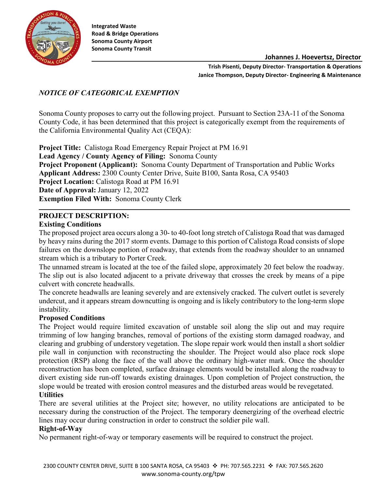

**Integrated Waste Road & Bridge Operations Sonoma County Airport Sonoma County Transit**

**Johannes J. Hoevertsz, Director**

**Trish Pisenti, Deputy Director- Transportation & Operations Janice Thompson, Deputy Director- Engineering & Maintenance**

### *NOTICE OF CATEGORICAL EXEMPTION*

Sonoma County proposes to carry out the following project. Pursuant to Section 23A-11 of the Sonoma County Code, it has been determined that this project is categorically exempt from the requirements of the California Environmental Quality Act (CEQA):

**Project Title:** Calistoga Road Emergency Repair Project at PM 16.91 **Lead Agency / County Agency of Filing:** Sonoma County **Project Proponent (Applicant):** Sonoma County Department of Transportation and Public Works **Applicant Address:** 2300 County Center Drive, Suite B100, Santa Rosa, CA 95403 **Project Location:** Calistoga Road at PM 16.91 **Date of Approval:** January 12, 2022 **Exemption Filed With:** Sonoma County Clerk

### **PROJECT DESCRIPTION:**

#### **Existing Conditions**

The proposed project area occurs along a 30- to 40-foot long stretch of Calistoga Road that was damaged by heavy rains during the 2017 storm events. Damage to this portion of Calistoga Road consists of slope failures on the downslope portion of roadway, that extends from the roadway shoulder to an unnamed stream which is a tributary to Porter Creek.

The unnamed stream is located at the toe of the failed slope, approximately 20 feet below the roadway. The slip out is also located adjacent to a private driveway that crosses the creek by means of a pipe culvert with concrete headwalls.

The concrete headwalls are leaning severely and are extensively cracked. The culvert outlet is severely undercut, and it appears stream downcutting is ongoing and is likely contributory to the long-term slope instability.

#### **Proposed Conditions**

The Project would require limited excavation of unstable soil along the slip out and may require trimming of low hanging branches, removal of portions of the existing storm damaged roadway, and clearing and grubbing of understory vegetation. The slope repair work would then install a short soldier pile wall in conjunction with reconstructing the shoulder. The Project would also place rock slope protection (RSP) along the face of the wall above the ordinary high-water mark. Once the shoulder reconstruction has been completed, surface drainage elements would be installed along the roadway to divert existing side run-off towards existing drainages. Upon completion of Project construction, the slope would be treated with erosion control measures and the disturbed areas would be revegetated. **Utilities** 

There are several utilities at the Project site; however, no utility relocations are anticipated to be necessary during the construction of the Project. The temporary deenergizing of the overhead electric lines may occur during construction in order to construct the soldier pile wall.

#### **Right-of-Way**

No permanent right-of-way or temporary easements will be required to construct the project.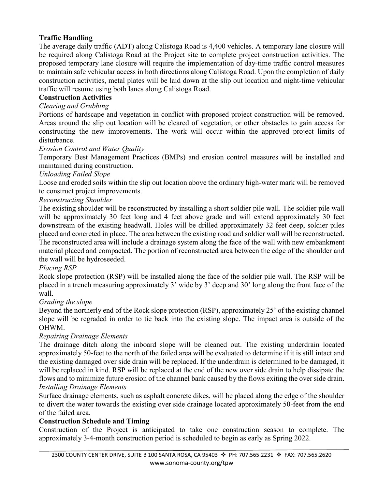# **Traffic Handling**

The average daily traffic (ADT) along Calistoga Road is 4,400 vehicles. A temporary lane closure will be required along Calistoga Road at the Project site to complete project construction activities. The proposed temporary lane closure will require the implementation of day-time traffic control measures to maintain safe vehicular access in both directions along Calistoga Road. Upon the completion of daily construction activities, metal plates will be laid down at the slip out location and night-time vehicular traffic will resume using both lanes along Calistoga Road.

### **Construction Activities**

# *Clearing and Grubbing*

Portions of hardscape and vegetation in conflict with proposed project construction will be removed. Areas around the slip out location will be cleared of vegetation, or other obstacles to gain access for constructing the new improvements. The work will occur within the approved project limits of disturbance.

### *Erosion Control and Water Quality*

Temporary Best Management Practices (BMPs) and erosion control measures will be installed and maintained during construction.

### *Unloading Failed Slope*

Loose and eroded soils within the slip out location above the ordinary high-water mark will be removed to construct project improvements.

## *Reconstructing Shoulder*

The existing shoulder will be reconstructed by installing a short soldier pile wall. The soldier pile wall will be approximately 30 feet long and 4 feet above grade and will extend approximately 30 feet downstream of the existing headwall. Holes will be drilled approximately 32 feet deep, soldier piles placed and concreted in place. The area between the existing road and soldier wall will be reconstructed. The reconstructed area will include a drainage system along the face of the wall with new embankment material placed and compacted. The portion of reconstructed area between the edge of the shoulder and the wall will be hydroseeded.

### *Placing RSP*

Rock slope protection (RSP) will be installed along the face of the soldier pile wall. The RSP will be placed in a trench measuring approximately 3' wide by 3' deep and 30' long along the front face of the wall.

## *Grading the slope*

Beyond the northerly end of the Rock slope protection (RSP), approximately 25' of the existing channel slope will be regraded in order to tie back into the existing slope. The impact area is outside of the OHWM.

## *Repairing Drainage Elements*

The drainage ditch along the inboard slope will be cleaned out. The existing underdrain located approximately 50-feet to the north of the failed area will be evaluated to determine if it is still intact and the existing damaged over side drain will be replaced. If the underdrain is determined to be damaged, it will be replaced in kind. RSP will be replaced at the end of the new over side drain to help dissipate the flows and to minimize future erosion of the channel bank caused by the flows exiting the over side drain. *Installing Drainage Elements* 

Surface drainage elements, such as asphalt concrete dikes, will be placed along the edge of the shoulder to divert the water towards the existing over side drainage located approximately 50-feet from the end of the failed area.

## **Construction Schedule and Timing**

Construction of the Project is anticipated to take one construction season to complete. The approximately 3-4-month construction period is scheduled to begin as early as Spring 2022.